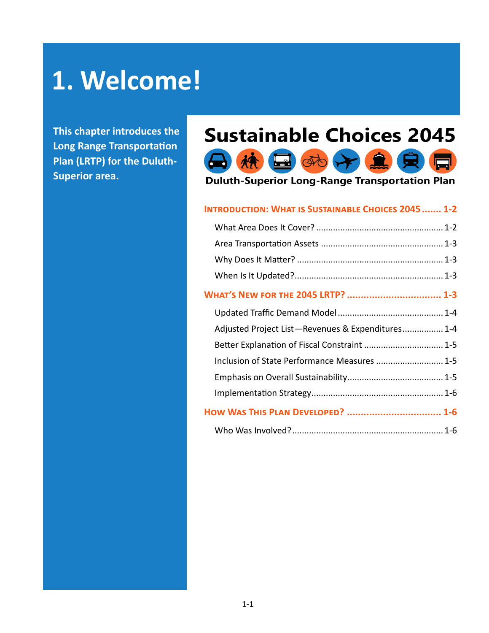# **1. Welcome!**

**This chapter introduces the Long Range Transportation Plan (LRTP) for the Duluth-Superior area.**

## **Sustainable Choices 2045**



**Duluth-Superior Long-Range Transportation Plan** 

#### **Introduction: What is Sustainable Choices 2045....... 1-2**

| <b>WHAT'S NEW FOR THE 2045 LRTP?  1-3</b>         |  |
|---------------------------------------------------|--|
|                                                   |  |
| Adjusted Project List-Revenues & Expenditures 1-4 |  |
| Better Explanation of Fiscal Constraint  1-5      |  |
| Inclusion of State Performance Measures  1-5      |  |
|                                                   |  |
|                                                   |  |
| HOW WAS THIS PLAN DEVELOPED?  1-6                 |  |
|                                                   |  |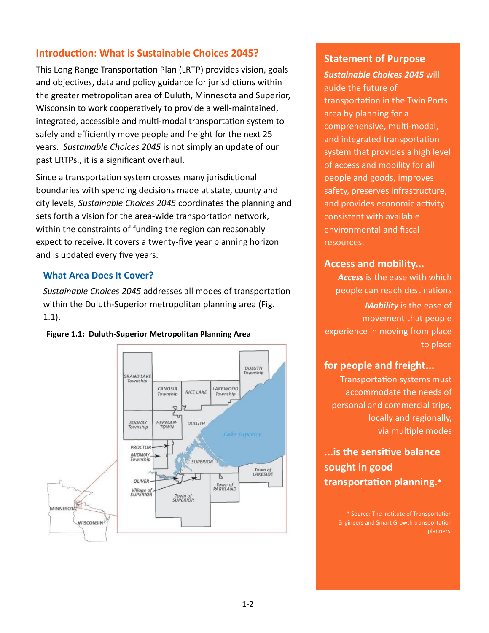## **Introduction: What is Sustainable Choices 2045?**

This Long Range Transportation Plan (LRTP) provides vision, goals and objectives, data and policy guidance for jurisdictions within the greater metropolitan area of Duluth, Minnesota and Superior, Wisconsin to work cooperatively to provide a well-maintained, integrated, accessible and multi-modal transportation system to safely and efficiently move people and freight for the next 25 years. *Sustainable Choices 2045* is not simply an update of our past LRTPs., it is a significant overhaul.

Since a transportation system crosses many jurisdictional boundaries with spending decisions made at state, county and city levels, *Sustainable Choices 2045* coordinates the planning and sets forth a vision for the area-wide transportation network, within the constraints of funding the region can reasonably expect to receive. It covers a twenty-five year planning horizon and is updated every five years.

#### **What Area Does It Cover?**

*Sustainable Choices 2045* addresses all modes of transportation within the Duluth-Superior metropolitan planning area (Fig. 1.1).





## **Statement of Purpose**

*Sustainable Choices 2045* will guide the future of transportation in the Twin Ports area by planning for a comprehensive, multi-modal, and integrated transportation system that provides a high level of access and mobility for all people and goods, improves safety, preserves infrastructure, and provides economic activity consistent with available environmental and fiscal resources.

## **Access and mobility...**

*Access* is the ease with which people can reach destinations

*Mobility* is the ease of movement that people experience in moving from place to place

## **for people and freight...**

Transportation systems must accommodate the needs of personal and commercial trips, locally and regionally, via multiple modes

**...is the sensitive balance sought in good transportation planning.**\*

> \* Source: The Institute of Transportation Engineers and Smart Growth transportation planners.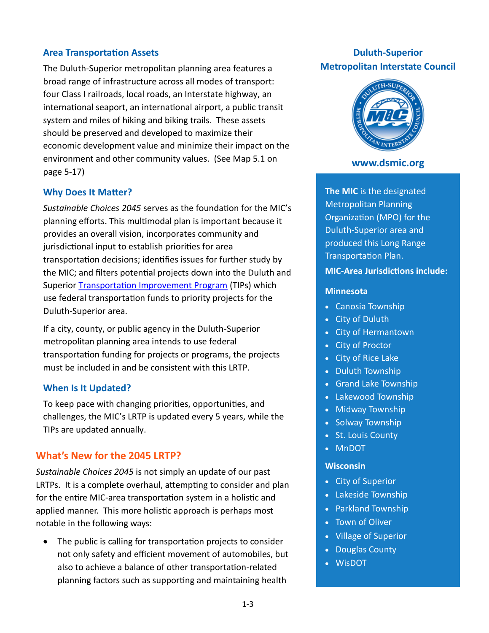#### **Area Transportation Assets**

The Duluth-Superior metropolitan planning area features a broad range of infrastructure across all modes of transport: four Class I railroads, local roads, an Interstate highway, an international seaport, an international airport, a public transit system and miles of hiking and biking trails. These assets should be preserved and developed to maximize their economic development value and minimize their impact on the environment and other community values. (See Map 5.1 on page 5-17)

#### **Why Does It Matter?**

*Sustainable Choices 2045* serves as the foundation for the MIC's planning efforts. This multimodal plan is important because it provides an overall vision, incorporates community and jurisdictional input to establish priorities for area transportation decisions; identifies issues for further study by the MIC; and filters potential projects down into the Duluth and Superior **Transportation Improvement Program** (TIPs) which use federal transportation funds to priority projects for the Duluth-Superior area.

If a city, county, or public agency in the Duluth-Superior metropolitan planning area intends to use federal transportation funding for projects or programs, the projects must be included in and be consistent with this LRTP.

#### **When Is It Updated?**

To keep pace with changing priorities, opportunities, and challenges, the MIC's LRTP is updated every 5 years, while the TIPs are updated annually.

#### **What's New for the 2045 LRTP?**

*Sustainable Choices 2045* is not simply an update of our past LRTPs. It is a complete overhaul, attempting to consider and plan for the entire MIC-area transportation system in a holistic and applied manner. This more holistic approach is perhaps most notable in the following ways:

• The public is calling for transportation projects to consider not only safety and efficient movement of automobiles, but also to achieve a balance of other transportation-related planning factors such as supporting and maintaining health

## **Duluth-Superior Metropolitan Interstate Council**



#### **www.dsmic.org**

**The MIC** is the designated Metropolitan Planning Organization (MPO) for the Duluth-Superior area and produced this Long Range Transportation Plan.

#### **MIC-Area Jurisdictions include:**

#### **Minnesota**

- Canosia Township
- City of Duluth
- City of Hermantown
- City of Proctor
- City of Rice Lake
- Duluth Township
- Grand Lake Township
- Lakewood Township
- Midway Township
- Solway Township
- St. Louis County
- MnDOT

#### **Wisconsin**

- City of Superior
- Lakeside Township
- Parkland Township
- Town of Oliver
- Village of Superior
- Douglas County
- WisDOT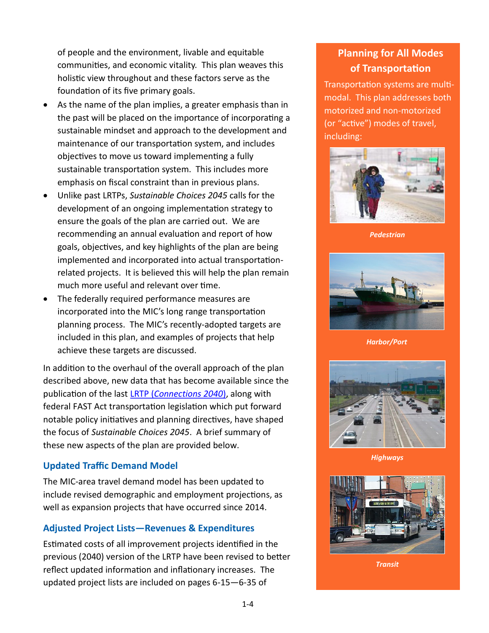of people and the environment, livable and equitable communities, and economic vitality. This plan weaves this holistic view throughout and these factors serve as the foundation of its five primary goals.

- As the name of the plan implies, a greater emphasis than in the past will be placed on the importance of incorporating a sustainable mindset and approach to the development and maintenance of our transportation system, and includes objectives to move us toward implementing a fully sustainable transportation system. This includes more emphasis on fiscal constraint than in previous plans.
- Unlike past LRTPs, *Sustainable Choices 2045* calls for the development of an ongoing implementation strategy to ensure the goals of the plan are carried out. We are recommending an annual evaluation and report of how goals, objectives, and key highlights of the plan are being implemented and incorporated into actual transportationrelated projects. It is believed this will help the plan remain much more useful and relevant over time.
- The federally required performance measures are incorporated into the MIC's long range transportation planning process. The MIC's recently-adopted targets are included in this plan, and examples of projects that help achieve these targets are discussed.

In addition to the overhaul of the overall approach of the plan described above, new data that has become available since the publication of the last LRTP (*[Connections 2040](https://dsmic.org/wp-content/uploads/2017/02/MIC-Long-Range-Transportation-Plan-Connections-2040.pdf)*), along with federal [FAST Act](http://www.fhwa.dot.gov/map21/) transportation legislation which put forward notable policy initiatives and planning directives, have shaped the focus of *Sustainable Choices 2045*. A brief summary of these new aspects of the plan are provided below.

## **Updated Traffic Demand Model**

The MIC-area travel demand model has been updated to include revised demographic and employment projections, as well as expansion projects that have occurred since 2014.

## **Adjusted Project Lists—Revenues & Expenditures**

Estimated costs of all improvement projects identified in the previous (2040) version of the LRTP have been revised to better reflect updated information and inflationary increases. The updated project lists are included on pages 6-15—6-35 of

## **Planning for All Modes of Transportation**

Transportation systems are multimodal. This plan addresses both motorized and non-motorized (or "active") modes of travel, including:



*Pedestrian*



*Harbor/Port*



*Highways*



*Transit*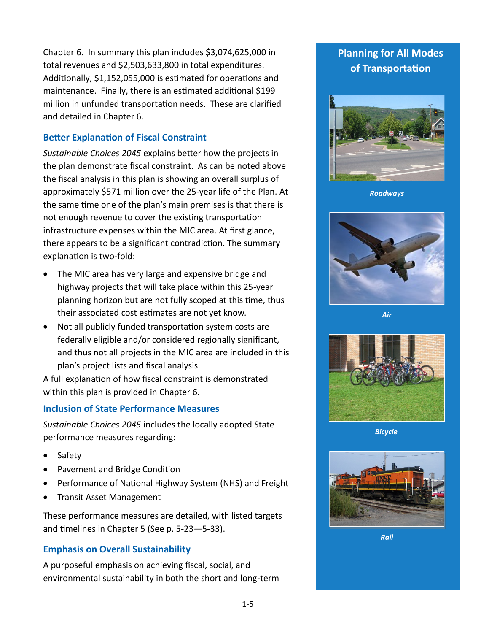Chapter 6. In summary this plan includes \$3,074,625,000 in total revenues and \$2,503,633,800 in total expenditures. Additionally, \$1,152,055,000 is estimated for operations and maintenance. Finally, there is an estimated additional \$199 million in unfunded transportation needs. These are clarified and detailed in Chapter 6.

## **Better Explanation of Fiscal Constraint**

*Sustainable Choices 2045* explains better how the projects in the plan demonstrate fiscal constraint. As can be noted above the fiscal analysis in this plan is showing an overall surplus of approximately \$571 million over the 25-year life of the Plan. At the same time one of the plan's main premises is that there is not enough revenue to cover the existing transportation infrastructure expenses within the MIC area. At first glance, there appears to be a significant contradiction. The summary explanation is two-fold:

- The MIC area has very large and expensive bridge and highway projects that will take place within this 25-year planning horizon but are not fully scoped at this time, thus their associated cost estimates are not yet know.
- Not all publicly funded transportation system costs are federally eligible and/or considered regionally significant, and thus not all projects in the MIC area are included in this plan's project lists and fiscal analysis.

A full explanation of how fiscal constraint is demonstrated within this plan is provided in Chapter 6.

## **Inclusion of State Performance Measures**

*Sustainable Choices 2045* includes the locally adopted State performance measures regarding:

- Safety
- Pavement and Bridge Condition
- Performance of National Highway System (NHS) and Freight
- Transit Asset Management

These performance measures are detailed, with listed targets and timelines in Chapter 5 (See p. 5-23—5-33).

## **Emphasis on Overall Sustainability**

A purposeful emphasis on achieving fiscal, social, and environmental sustainability in both the short and long-term

## **Planning for All Modes of Transportation**



*Roadways*



*Air*



*Bicycle*



*Rail*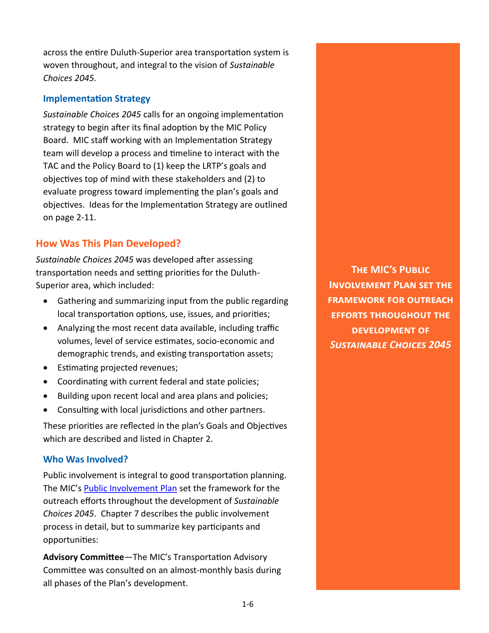across the entire Duluth-Superior area transportation system is woven throughout, and integral to the vision of *Sustainable Choices 2045.*

#### **Implementation Strategy**

*Sustainable Choices 2045* calls for an ongoing implementation strategy to begin after its final adoption by the MIC Policy Board. MIC staff working with an Implementation Strategy team will develop a process and timeline to interact with the TAC and the Policy Board to (1) keep the LRTP's goals and objectives top of mind with these stakeholders and (2) to evaluate progress toward implementing the plan's goals and objectives. Ideas for the Implementation Strategy are outlined on page 2-11.

## **How Was This Plan Developed?**

*Sustainable Choices 2045* was developed after assessing transportation needs and setting priorities for the Duluth-Superior area, which included:

- Gathering and summarizing input from the public regarding local transportation options, use, issues, and priorities;
- Analyzing the most recent data available, including traffic volumes, level of service estimates, socio-economic and demographic trends, and existing transportation assets;
- Estimating projected revenues;
- Coordinating with current federal and state policies;
- Building upon recent local and area plans and policies;
- Consulting with local jurisdictions and other partners.

These priorities are reflected in the plan's Goals and Objectives which are described and listed in Chapter 2.

#### **Who Was Involved?**

Public involvement is integral to good transportation planning. The MIC's [Public Involvement Plan](https://dsmic.org/wp-content/uploads/2018/01/MIC-Public-Involvement-Plan-2018-Update-FINAL.pdf) set the framework for the outreach efforts throughout the development of *Sustainable Choices 2045*. Chapter 7 describes the public involvement process in detail, but to summarize key participants and opportunities:

**Advisory Committee**—The MIC's Transportation Advisory Committee was consulted on an almost-monthly basis during all phases of the Plan's development.

**The MIC's Public Involvement Plan set the framework for outreach efforts throughout the development of**  *Sustainable Choices 2045*